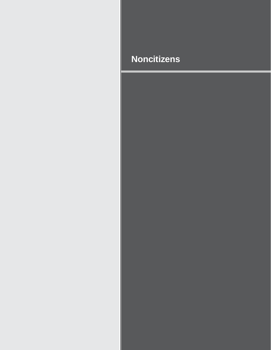# **Noncitizens**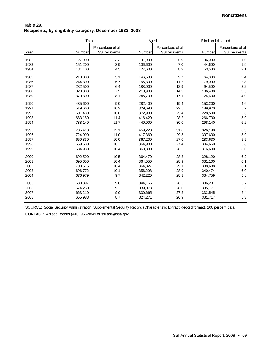## **Table 29. Recipients, by eligibility category, December 1982–2008**

|      | Total   |                                     | Aged    |                                     | Blind and disabled |                                     |
|------|---------|-------------------------------------|---------|-------------------------------------|--------------------|-------------------------------------|
| Year | Number  | Percentage of all<br>SSI recipients | Number  | Percentage of all<br>SSI recipients | Number             | Percentage of all<br>SSI recipients |
| 1982 | 127,900 | 3.3                                 | 91,900  | 5.9                                 | 36,000             | 1.6                                 |
| 1983 | 151,200 | 3.9                                 | 106,600 | 7.0                                 | 44,600             | 1.9                                 |
| 1984 | 181,100 | 4.5                                 | 127,600 | 8.3                                 | 53,500             | 2.1                                 |
| 1985 | 210,800 | 5.1                                 | 146,500 | 9.7                                 | 64,300             | 2.4                                 |
| 1986 | 244,300 | 5.7                                 | 165,300 | 11.2                                | 79,000             | 2.8                                 |
| 1987 | 282,500 | 6.4                                 | 188,000 | 12.9                                | 94,500             | 3.2                                 |
| 1988 | 320,300 | 7.2                                 | 213,900 | 14.9                                | 106,400            | 3.5                                 |
| 1989 | 370,300 | 8.1                                 | 245,700 | 17.1                                | 124,600            | 4.0                                 |
| 1990 | 435,600 | 9.0                                 | 282,400 | 19.4                                | 153,200            | 4.6                                 |
| 1991 | 519,660 | 10.2                                | 329,690 | 22.5                                | 189,970            | 5.2                                 |
| 1992 | 601,430 | 10.8                                | 372,930 | 25.4                                | 228,500            | 5.6                                 |
| 1993 | 683,150 | 11.4                                | 416,420 | 28.2                                | 266,730            | 5.9                                 |
| 1994 | 738,140 | 11.7                                | 440,000 | 30.0                                | 298,140            | 6.2                                 |
| 1995 | 785,410 | 12.1                                | 459,220 | 31.8                                | 326,190            | 6.3                                 |
| 1996 | 724,990 | 11.0                                | 417,360 | 29.5                                | 307,630            | 5.9                                 |
| 1997 | 650,830 | 10.0                                | 367,200 | 27.0                                | 283,630            | 5.5                                 |
| 1998 | 669,630 | 10.2                                | 364,980 | 27.4                                | 304,650            | 5.8                                 |
| 1999 | 684,930 | 10.4                                | 368,330 | 28.2                                | 316,600            | 6.0                                 |
| 2000 | 692,590 | 10.5                                | 364,470 | 28.3                                | 328,120            | 6.2                                 |
| 2001 | 695,650 | 10.4                                | 364,550 | 28.9                                | 331,100            | 6.1                                 |
| 2002 | 703,515 | 10.4                                | 364,827 | 29.1                                | 338,688            | 6.1                                 |
| 2003 | 696,772 | 10.1                                | 356,298 | 28.9                                | 340,474            | 6.0                                 |
| 2004 | 676,979 | 9.7                                 | 342,220 | 28.3                                | 334,759            | 5.8                                 |
| 2005 | 680,397 | 9.6                                 | 344,166 | 28.3                                | 336,231            | 5.7                                 |
| 2006 | 674,250 | 9.3                                 | 339,073 | 28.0                                | 335,177            | 5.6                                 |
| 2007 | 663,210 | 9.0                                 | 330,665 | 27.5                                | 332,545            | 5.4                                 |
| 2008 | 655,988 | 8.7                                 | 324,271 | 26.9                                | 331,717            | 5.3                                 |

SOURCE: Social Security Administration, Supplemental Security Record (Characteristic Extract Record format), 100 percent data.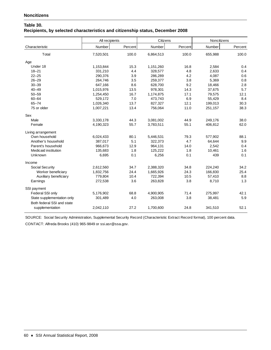## **Table 30. Recipients, by selected characteristics and citizenship status, December 2008**

|                                                          | All recipients |         | Citizens  |         | Noncitizens |         |
|----------------------------------------------------------|----------------|---------|-----------|---------|-------------|---------|
| Characteristic                                           | Number         | Percent | Number    | Percent | Number      | Percent |
| Total                                                    | 7,520,501      | 100.0   | 6,864,513 | 100.0   | 655,988     | 100.0   |
| Age                                                      |                |         |           |         |             |         |
| Under 18                                                 | 1,153,844      | 15.3    | 1,151,260 | 16.8    | 2,584       | 0.4     |
| $18 - 21$                                                | 331,210        | 4.4     | 328,577   | 4.8     | 2,633       | 0.4     |
| $22 - 25$                                                | 290,376        | 3.9     | 286,289   | 4.2     | 4,087       | 0.6     |
| $26 - 29$                                                | 264,746        | 3.5     | 259,377   | 3.8     | 5,369       | 0.8     |
| $30 - 39$                                                | 647,166        | 8.6     | 628,700   | 9.2     | 18,466      | 2.8     |
| $40 - 49$                                                | 1,015,976      | 13.5    | 978,301   | 14.3    | 37,675      | 5.7     |
| $50 - 59$                                                | 1,254,450      | 16.7    | 1,174,875 | 17.1    | 79,575      | 12.1    |
| $60 - 64$                                                | 529,172        | 7.0     | 473,743   | 6.9     | 55,429      | 8.4     |
| $65 - 74$                                                | 1,026,340      | 13.7    | 827,327   | 12.1    | 199,013     | 30.3    |
| 75 or older                                              | 1,007,221      | 13.4    | 756,064   | 11.0    | 251,157     | 38.3    |
| Sex                                                      |                |         |           |         |             |         |
| Male                                                     | 3,330,178      | 44.3    | 3,081,002 | 44.9    | 249,176     | 38.0    |
| Female                                                   | 4,190,323      | 55.7    | 3,783,511 | 55.1    | 406,812     | 62.0    |
| Living arrangement                                       |                |         |           |         |             |         |
| Own household                                            | 6,024,433      | 80.1    | 5,446,531 | 79.3    | 577,902     | 88.1    |
| Another's household                                      | 387,017        | 5.1     | 322,373   | 4.7     | 64,644      | 9.9     |
| Parent's household                                       | 966,673        | 12.9    | 964,131   | 14.0    | 2,542       | 0.4     |
| Medicaid institution                                     | 135,683        | 1.8     | 125,222   | 1.8     | 10,461      | 1.6     |
| Unknown                                                  | 6,695          | 0.1     | 6,256     | 0.1     | 439         | 0.1     |
| Income                                                   |                |         |           |         |             |         |
| Social Security                                          | 2,612,560      | 34.7    | 2,388,320 | 34.8    | 224,240     | 34.2    |
| Worker beneficiary                                       | 1,832,756      | 24.4    | 1,665,926 | 24.3    | 166,830     | 25.4    |
| Auxiliary beneficiary                                    | 779,804        | 10.4    | 722,394   | 10.5    | 57,410      | 8.8     |
| Earnings                                                 | 272,538        | 3.6     | 263,828   | 3.8     | 8,710       | 1.3     |
| SSI payment                                              |                |         |           |         |             |         |
| Federal SSI only                                         | 5,176,902      | 68.8    | 4,900,905 | 71.4    | 275,997     | 42.1    |
| State supplementation only<br>Both federal SSI and state | 301,489        | 4.0     | 263,008   | 3.8     | 38,481      | 5.9     |
| supplementation                                          | 2,042,110      | 27.2    | 1,700,600 | 24.8    | 341,510     | 52.1    |

SOURCE: Social Security Administration, Supplemental Security Record (Characteristic Extract Record format), 100 percent data.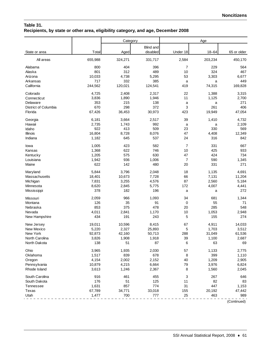## **Table 31. Recipients, by state or other area, eligibility category, and age, December 2008**

|                      |         | Category |           |                | Age       |             |
|----------------------|---------|----------|-----------|----------------|-----------|-------------|
|                      |         |          | Blind and |                |           |             |
| State or area        | Total   | Aged     | disabled  | Under 18       | $18 - 64$ | 65 or older |
| All areas            | 655,988 | 324,271  | 331,717   | 2,584          | 203,234   | 450,170     |
| Alabama              | 800     | 404      | 396       | 7              | 229       | 564         |
| Alaska               | 801     | 312      | 489       | 10             | 324       | 467         |
| Arizona              | 10,033  | 4,738    | 5,295     | 53             | 3,303     | 6,677       |
| Arkansas             | 717     | 332      | 385       | a              | a         | 449         |
| California           | 244,562 | 120,021  | 124,541   | 419            | 74,315    | 169,828     |
| Colorado             | 4,725   | 2,408    | 2,317     | 22             | 1,388     | 3,315       |
| Connecticut          | 3,836   | 1,890    | 1,946     | 11             | 1,125     | 2,700       |
| Delaware             | 353     | 215      | 138       | a              | a         | 271         |
| District of Columbia | 670     | 298      | 372       | 3              | 261       | 406         |
| Florida              | 67,426  | 36,453   | 30,973    | 423            | 19,949    | 47,054      |
| Georgia              | 6,181   | 3,664    | 2,517     | 39             | 1,410     | 4,732       |
| Hawaii               | 2,735   | 1,743    | 992       | a              | a         | 2,109       |
| Idaho                | 922     | 413      | 509       | 23             | 330       | 569         |
| Illinois             | 16,804  | 8,728    | 8,076     | 47             | 4,408     | 12,349      |
| Indiana              | 1,182   | 645      | 537       | 24             | 316       | 842         |
| Iowa                 | 1,005   | 423      | 582       | $\overline{7}$ | 331       | 667         |
| Kansas               | 1,368   | 622      | 746       | 10             | 425       | 933         |
| Kentucky             | 1,205   | 575      | 630       | 47             | 424       | 734         |
| Louisiana            | 1,942   | 936      | 1,006     | $\overline{7}$ | 590       | 1,345       |
| Maine                | 622     | 142      | 480       | 20             | 331       | 271         |
| Maryland             | 5,844   | 3,796    | 2,048     | 18             | 1,135     | 4,691       |
| Massachusetts        | 18,401  | 10,673   | 7,728     | 66             | 7,131     | 11,204      |
| Michigan             | 7,831   | 3,255    | 4,576     | 87             | 2,560     | 5,184       |
| Minnesota            | 8,620   | 2,845    | 5,775     | 172            | 4,007     | 4,441       |
| Mississippi          | 378     | 182      | 196       | a              | a         | 272         |
| Missouri             | 2,059   | 966      | 1,093     | 34             | 681       | 1,344       |
| Montana              | 126     | 35       | 91        | 0              | 55        | 71          |
| Nebraska             | 853     | 375      | 478       | 20             | 285       | 548         |
| Nevada               | 4,011   | 2,841    | 1,170     | 10             | 1,053     | 2,948       |
| New Hampshire        | 434     | 191      | 243       | 5              | 155       | 274         |
| New Jersey           | 19,011  | 10,596   | 8,415     | 67             | 4,911     | 14,033      |
| New Mexico           | 5,220   | 2,327    | 25,893    | 5              | 1,703     | 3,512       |
| New York             | 92,873  | 42,160   | 50,713    | 288            | 31,049    | 61,536      |
| North Carolina       | 3,826   | 1,908    | 1,918     | 39             | 1,100     | 2,687       |
| North Dakota         | 138     | 51       | 87        | 6              | 63        | 69          |
| Ohio                 | 3,965   | 1,935    | 2,030     | 57             | 1,133     | 2,775       |
| Oklahoma             | 1,517   | 839      | 678       | 8              | 399       | 1,110       |
| Oregon               | 4,154   | 2,002    | 2,152     | 40             | 1,209     | 2,905       |
| Pennsylvania         | 10,879  | 4,215    | 6,664     | 79             | 3,976     | 6,824       |
| Rhode Island         | 3,613   | 1,246    | 2,367     | 8              | 1,560     | 2,045       |
| South Carolina       | 916     | 461      | 455       | 3              | 267       | 646         |
| South Dakota         | 176     | 51       | 125       | 11             | 82        | 83          |
| Tennessee            | 1,631   | 857      | 774       | 31             | 447       | 1,153       |
| Texas                | 67,789  | 34,771   | 33,018    | 155            | 20,192    | 47,442      |
| Utah                 | 1,477   | 700      | 777       | 25             | 463       | 989         |

(Continued)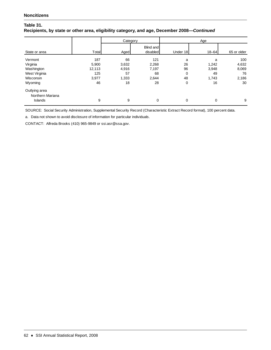## **Table 31. Recipients, by state or other area, eligibility category, and age, December 2008—***Continued*

|                  |        | Category |                              | Age      |           |             |
|------------------|--------|----------|------------------------------|----------|-----------|-------------|
| State or area    | Total  | Aged     | <b>Blind and</b><br>disabled | Under 18 | $18 - 64$ | 65 or older |
| Vermont          | 187    | 66       | 121                          | a        | a         | 100         |
| Virginia         | 5,900  | 3,632    | 2,268                        | 26       | 1,242     | 4,632       |
| Washington       | 12,113 | 4,916    | 7,197                        | 96       | 3,948     | 8,069       |
| West Virginia    | 125    | 57       | 68                           | 0        | 49        | 76          |
| Wisconsin        | 3,977  | 1,333    | 2,644                        | 48       | 1,743     | 2,186       |
| Wyoming          | 46     | 18       | 28                           | 0        | 16        | 30          |
| Outlying area    |        |          |                              |          |           |             |
| Northern Mariana |        |          |                              |          |           |             |
| Islands          | 9      | 9        | 0                            | 0        | 0         | 9           |

SOURCE: Social Security Administration, Supplemental Security Record (Characteristic Extract Record format), 100 percent data.

a. Data not shown to avoid disclosure of information for particular individuals.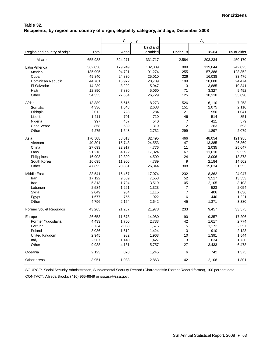## **Table 32. Recipients, by region and country of origin, eligibility category, and age, December 2008**

|                                |         | Category |                  |                | Age       |             |
|--------------------------------|---------|----------|------------------|----------------|-----------|-------------|
|                                |         |          | <b>Blind and</b> |                |           |             |
| Region and country of origin   | Total   | Aged     | disabled         | Under 18       | $18 - 64$ | 65 or older |
| All areas                      | 655,988 | 324,271  | 331,717          | 2,584          | 203,234   | 450,170     |
| Latin America                  | 362,058 | 179,249  | 182,809          | 989            | 119,044   | 242,025     |
| Mexico                         | 185,995 | 94,721   | 91,274           | 255            | 57,388    | 128,352     |
| Cuba                           | 49,840  | 24,830   | 25,010           | 326            | 16,038    | 33,476      |
| Dominican Republic             | 44,761  | 15,972   | 28,789           | 199            | 20,088    | 24,474      |
| El Salvador                    | 14,239  | 8,292    | 5,947            | 13             | 3,885     | 10,341      |
| Haiti                          | 12,890  | 7,830    | 5,060            | 71             | 3,327     | 9,492       |
| Other                          | 54,333  | 27,604   | 26,729           | 125            | 18,318    | 35,890      |
| Africa                         | 13,889  | 5.615    | 8,273            | 526            | 6,110     | 7,253       |
| Somalia                        | 4,336   | 1,648    | 2,688            | 151            | 2,075     | 2,110       |
| Ethiopia                       | 2,012   | 728      | 1,284            | 21             | 950       | 1,041       |
| Liberia                        | 1,411   | 701      | 710              | 46             | 514       | 851         |
| Nigeria                        | 997     | 457      | 540              | $\overline{7}$ | 411       | 579         |
| Cape Verde                     | 858     | 539      | 319              | $\overline{c}$ | 263       | 593         |
| Other                          | 4,275   | 1,543    | 2,732            | 299            | 1,897     | 2,079       |
| Asia                           | 170,508 | 88,013   | 82,495           | 466            | 48,054    | 121,988     |
| Vietnam                        | 40,301  | 15,748   | 24,553           | 47             | 13,385    | 26,869      |
| China                          | 27,693  | 22,917   | 4,776            | 11             | 2,035     | 25,647      |
| Laos                           | 21,216  | 4,192    | 17,024           | 67             | 11,610    | 9,539       |
| Philippines                    | 16,908  | 12,399   | 4,509            | 24             | 3,006     | 13,878      |
| South Korea                    | 16,695  | 11,906   | 4,789            | 9              | 2,184     | 14,502      |
| Other                          | 47,695  | 20,851   | 26,844           | 308            | 15,834    | 31,553      |
| <b>Middle East</b>             | 33,541  | 16,467   | 17,074           | 232            | 8,362     | 24,947      |
| Iran                           | 17,122  | 9,569    | 7,553            | 52             | 3,517     | 13,553      |
| Iraq                           | 5,313   | 1,794    | 3,519            | 105            | 2,105     | 3,103       |
| Lebanon                        | 2,584   | 1,261    | 1,323            | 7              | 523       | 2,054       |
| Syria                          | 2,049   | 934      | 1,115            | $\overline{7}$ | 406       | 1,636       |
| Egypt                          | 1,677   | 755      | 922              | 16             | 440       | 1,221       |
| Other                          | 4,796   | 2,154    | 2,642            | 45             | 1,371     | 3,380       |
| <b>Former Soviet Republics</b> | 43,265  | 21,287   | 21,978           | 233            | 9,457     | 33,575      |
| Europe                         | 26,653  | 11,673   | 14,980           | 90             | 9,357     | 17,206      |
| Former Yugoslavia              | 4,433   | 1,700    | 2,733            | 42             | 1,617     | 2,774       |
| Portugal                       | 3,734   | 2,058    | 1,676            | 5              | 1,172     | 2,557       |
| Poland                         | 3,036   | 1,612    | 1,424            | 3              | 910       | 2,123       |
| United Kingdom                 | 2,945   | 982      | 1,963            | 10             | 1,391     | 1,544       |
| Italy                          | 2,567   | 1.140    | 1,427            | 3              | 834       | 1,730       |
| Other                          | 9,938   | 4,181    | 5,757            | 27             | 3,433     | 6,478       |
| Oceania                        | 2,123   | 878      | 1,245            | 6              | 742       | 1,375       |
| Other areas                    | 3,951   | 1,088    | 2,863            | 42             | 2,108     | 1,801       |

SOURCE: Social Security Administration, Supplemental Security Record (Characteristic Extract Record format), 100 percent data.